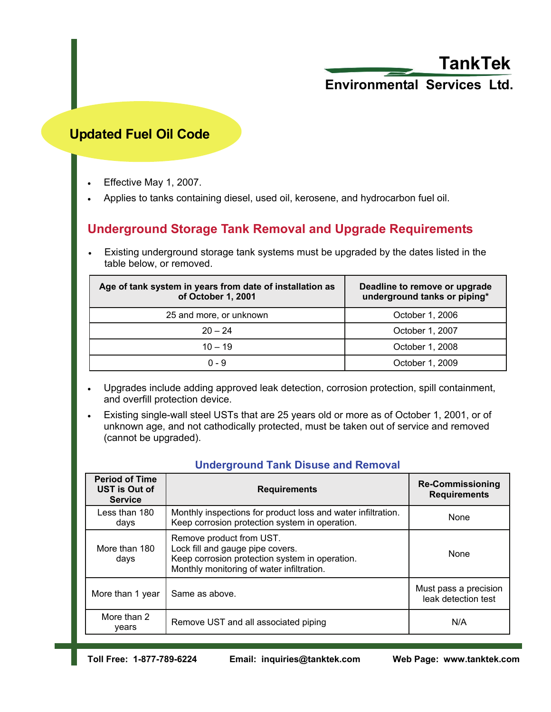# **TankTek**

# **Environmental Services Ltd.**

### **Updated Fuel Oil Code**

- Effective May 1, 2007.
- Applies to tanks containing diesel, used oil, kerosene, and hydrocarbon fuel oil.

### **Underground Storage Tank Removal and Upgrade Requirements**

Existing underground storage tank systems must be upgraded by the dates listed in the table below, or removed.

| Age of tank system in years from date of installation as<br>of October 1, 2001 | Deadline to remove or upgrade<br>underground tanks or piping* |  |
|--------------------------------------------------------------------------------|---------------------------------------------------------------|--|
| 25 and more, or unknown                                                        | October 1, 2006                                               |  |
| $20 - 24$                                                                      | October 1, 2007                                               |  |
| $10 - 19$                                                                      | October 1, 2008                                               |  |
| $0 - 9$                                                                        | October 1, 2009                                               |  |

- Upgrades include adding approved leak detection, corrosion protection, spill containment, and overfill protection device.
- Existing single-wall steel USTs that are 25 years old or more as of October 1, 2001, or of unknown age, and not cathodically protected, must be taken out of service and removed (cannot be upgraded).

| <b>Period of Time</b><br>UST is Out of<br><b>Service</b> | <b>Requirements</b>                                                                                                                                         | <b>Re-Commissioning</b><br><b>Requirements</b> |
|----------------------------------------------------------|-------------------------------------------------------------------------------------------------------------------------------------------------------------|------------------------------------------------|
| Less than 180<br>days                                    | Monthly inspections for product loss and water infiltration.<br>Keep corrosion protection system in operation.                                              | None                                           |
| More than 180<br>days                                    | Remove product from UST.<br>Lock fill and gauge pipe covers.<br>Keep corrosion protection system in operation.<br>Monthly monitoring of water infiltration. | None                                           |
| More than 1 year                                         | Same as above.                                                                                                                                              | Must pass a precision<br>leak detection test   |
| More than 2<br>years                                     | Remove UST and all associated piping                                                                                                                        | N/A                                            |

#### **Underground Tank Disuse and Removal**